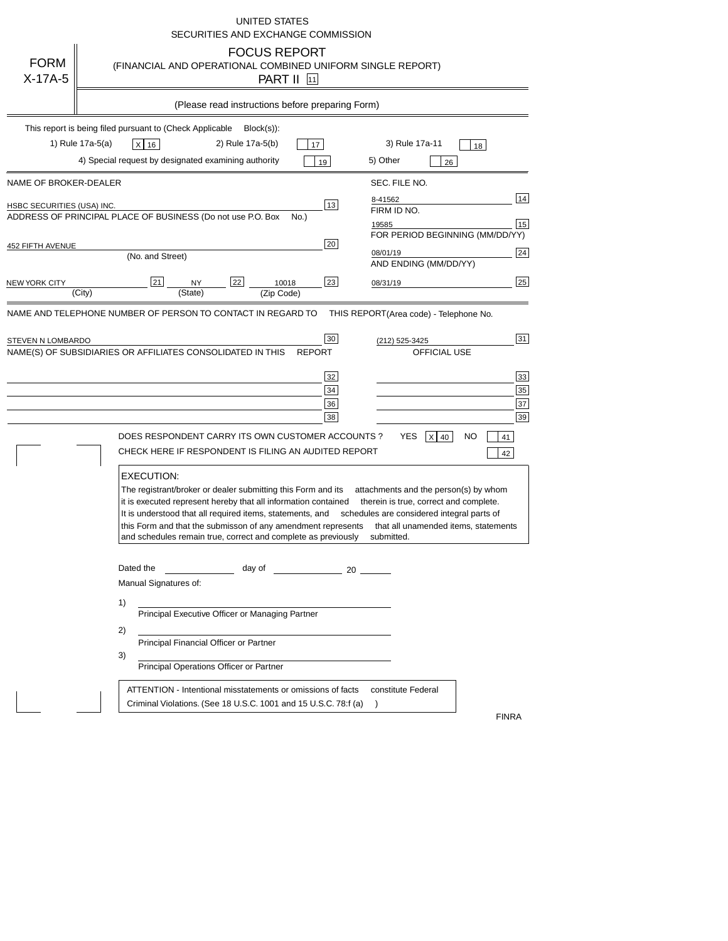|                                                     | UNITED STATES<br>SECURITIES AND EXCHANGE COMMISSION                                                                                                                                                                                                                                                                                                                                                                                                                                                                                            |
|-----------------------------------------------------|------------------------------------------------------------------------------------------------------------------------------------------------------------------------------------------------------------------------------------------------------------------------------------------------------------------------------------------------------------------------------------------------------------------------------------------------------------------------------------------------------------------------------------------------|
| <b>FORM</b><br>X-17A-5                              | <b>FOCUS REPORT</b><br>(FINANCIAL AND OPERATIONAL COMBINED UNIFORM SINGLE REPORT)<br><b>PART II</b> [11]                                                                                                                                                                                                                                                                                                                                                                                                                                       |
|                                                     | (Please read instructions before preparing Form)                                                                                                                                                                                                                                                                                                                                                                                                                                                                                               |
|                                                     | This report is being filed pursuant to (Check Applicable<br>$Block(s)$ :<br>1) Rule 17a-5(a)<br>2) Rule 17a-5(b)<br>3) Rule 17a-11<br>x 16<br>17<br>18<br>4) Special request by designated examining authority<br>5) Other<br>19<br>26                                                                                                                                                                                                                                                                                                         |
| NAME OF BROKER-DEALER<br>HSBC SECURITIES (USA) INC. | SEC. FILE NO.<br>14<br>8-41562<br>13<br>FIRM ID NO.<br>ADDRESS OF PRINCIPAL PLACE OF BUSINESS (Do not use P.O. Box<br>No.)<br>15<br>19585<br>FOR PERIOD BEGINNING (MM/DD/YY)                                                                                                                                                                                                                                                                                                                                                                   |
| 452 FIFTH AVENUE<br>NEW YORK CITY                   | 20<br>24<br>08/01/19<br>(No. and Street)<br>AND ENDING (MM/DD/YY)<br>25<br>21<br>22<br>23<br>NΥ<br>10018<br>08/31/19<br>(City)<br>(State)<br>(Zip Code)                                                                                                                                                                                                                                                                                                                                                                                        |
| STEVEN N LOMBARDO                                   | 31<br>30<br>(212) 525-3425<br>NAME(S) OF SUBSIDIARIES OR AFFILIATES CONSOLIDATED IN THIS<br>OFFICIAL USE<br><b>REPORT</b><br>33<br>32<br>35<br>34<br>37<br>36<br>39<br>38<br>DOES RESPONDENT CARRY ITS OWN CUSTOMER ACCOUNTS ?<br>YES<br>$X$ 40<br>NO<br>41<br>CHECK HERE IF RESPONDENT IS FILING AN AUDITED REPORT                                                                                                                                                                                                                            |
|                                                     | 42<br><b>EXECUTION:</b><br>The registrant/broker or dealer submitting this Form and its<br>attachments and the person(s) by whom<br>it is executed represent hereby that all information contained<br>therein is true, correct and complete.<br>It is understood that all required items, statements, and<br>schedules are considered integral parts of<br>this Form and that the submisson of any amendment represents<br>that all unamended items, statements<br>and schedules remain true, correct and complete as previously<br>submitted. |
|                                                     | Dated the<br>day of<br>$\sim$ 20<br>Manual Signatures of:<br>1)<br>Principal Executive Officer or Managing Partner<br>2)<br>Principal Financial Officer or Partner<br>3)<br>Principal Operations Officer or Partner                                                                                                                                                                                                                                                                                                                            |
|                                                     | ATTENTION - Intentional misstatements or omissions of facts<br>constitute Federal<br>Criminal Violations. (See 18 U.S.C. 1001 and 15 U.S.C. 78:f (a)<br><b>FINRA</b>                                                                                                                                                                                                                                                                                                                                                                           |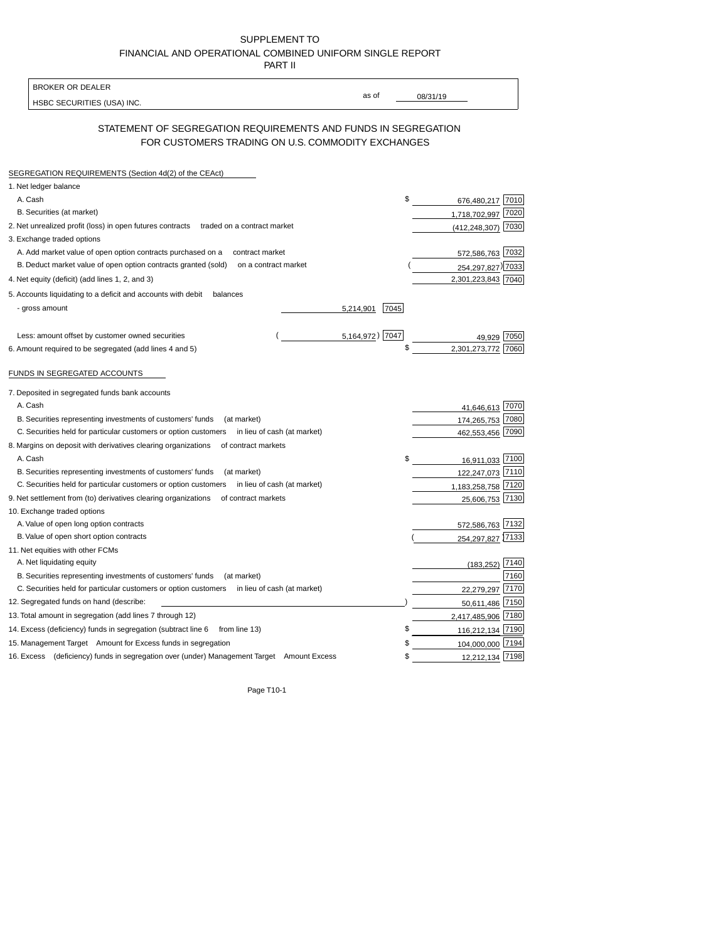| SUPPLEMENT TO                                            |
|----------------------------------------------------------|
| FINANCIAL AND OPERATIONAL COMBINED UNIFORM SINGLE REPORT |
| <b>PART II</b>                                           |

| <b>BROKER OR DEALER</b>                                                                                             |                   |                         |
|---------------------------------------------------------------------------------------------------------------------|-------------------|-------------------------|
| HSBC SECURITIES (USA) INC.                                                                                          | as of             | 08/31/19                |
|                                                                                                                     |                   |                         |
| STATEMENT OF SEGREGATION REQUIREMENTS AND FUNDS IN SEGREGATION<br>FOR CUSTOMERS TRADING ON U.S. COMMODITY EXCHANGES |                   |                         |
| SEGREGATION REQUIREMENTS (Section 4d(2) of the CEAct)                                                               |                   |                         |
| 1. Net ledger balance                                                                                               |                   |                         |
| A. Cash                                                                                                             |                   | \$<br>676,480,217 7010  |
| B. Securities (at market)                                                                                           |                   | 7020<br>1,718,702,997   |
| 2. Net unrealized profit (loss) in open futures contracts<br>traded on a contract market                            |                   | 7030<br>(412, 248, 307) |
| 3. Exchange traded options                                                                                          |                   |                         |
| A. Add market value of open option contracts purchased on a<br>contract market                                      |                   | 572,586,763 7032        |
| B. Deduct market value of open option contracts granted (sold)<br>on a contract market                              |                   | 254, 297, 827) 7033     |
| 4. Net equity (deficit) (add lines 1, 2, and 3)                                                                     |                   | 2,301,223,843 7040      |
| 5. Accounts liquidating to a deficit and accounts with debit<br>balances                                            |                   |                         |
| - gross amount                                                                                                      | 7045<br>5,214,901 |                         |
|                                                                                                                     |                   |                         |
| Less: amount offset by customer owned securities                                                                    | 5,164,972) 7047   | 7050                    |
| 6. Amount required to be segregated (add lines 4 and 5)                                                             |                   | \$<br>2,301,273,772     |
|                                                                                                                     |                   |                         |
| FUNDS IN SEGREGATED ACCOUNTS                                                                                        |                   |                         |
|                                                                                                                     |                   |                         |
| 7. Deposited in segregated funds bank accounts                                                                      |                   |                         |
| A. Cash                                                                                                             |                   | 7070<br>41,646,613      |
| B. Securities representing investments of customers' funds<br>(at market)                                           |                   | 174,265,753<br>7080     |
| C. Securities held for particular customers or option customers<br>in lieu of cash (at market)                      |                   | 7090<br>462,553,456     |
| 8. Margins on deposit with derivatives clearing organizations<br>of contract markets                                |                   |                         |
| A. Cash                                                                                                             |                   | 16,911,033 7100<br>\$   |
| B. Securities representing investments of customers' funds<br>(at market)                                           |                   | 122,247,073 7110        |
| C. Securities held for particular customers or option customers<br>in lieu of cash (at market)                      |                   | 7120<br>1,183,258,758   |
| 9. Net settlement from (to) derivatives clearing organizations<br>of contract markets                               |                   | 25,606,753 7130         |
| 10. Exchange traded options                                                                                         |                   |                         |
| A. Value of open long option contracts                                                                              |                   | 7132<br>572,586,763     |
| B. Value of open short option contracts                                                                             |                   | 254, 297, 827 7133      |
| 11. Net equities with other FCMs                                                                                    |                   |                         |
| A. Net liquidating equity                                                                                           |                   | $(183, 252)$ 7140       |
| B. Securities representing investments of customers' funds<br>(at market)                                           |                   | 7160                    |
| C. Securities held for particular customers or option customers<br>in lieu of cash (at market)                      |                   | 7170<br>22,279,297      |
| 12. Segregated funds on hand (describe:                                                                             |                   | 50,611,486<br>7150      |
| 13. Total amount in segregation (add lines 7 through 12)                                                            |                   | 2,417,485,906 7180      |
| 14. Excess (deficiency) funds in segregation (subtract line 6<br>from line 13)                                      |                   | \$<br>116,212,134 7190  |
| 15. Management Target Amount for Excess funds in segregation                                                        |                   | \$<br>104,000,000 7194  |
| 16. Excess (deficiency) funds in segregation over (under) Management Target Amount Excess                           |                   | 12,212,134 7198<br>\$   |
|                                                                                                                     |                   |                         |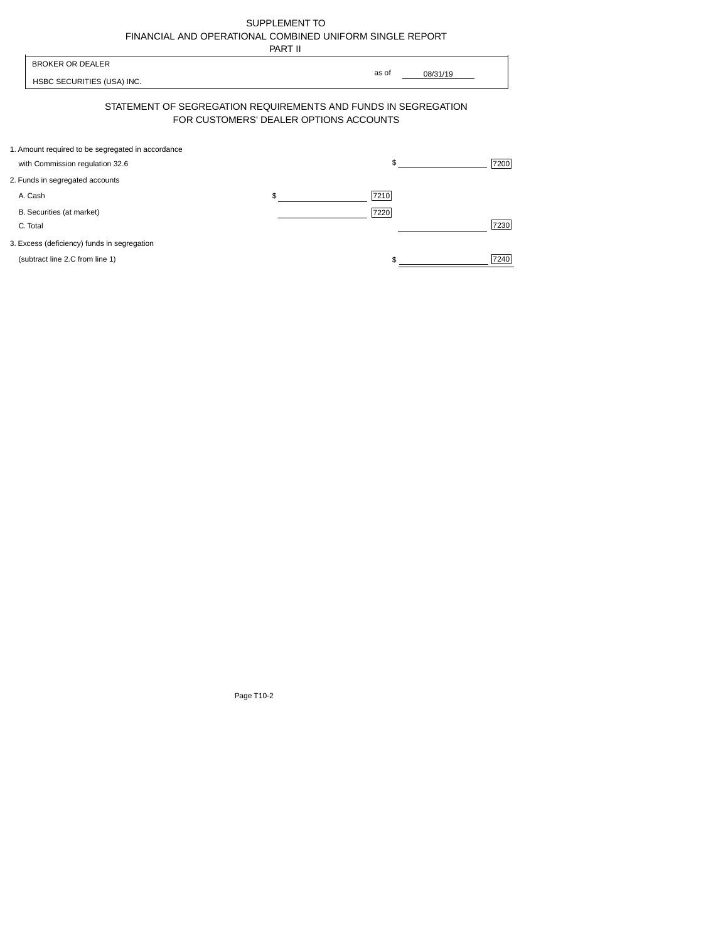| SUPPLEMENT TO                                            |
|----------------------------------------------------------|
| FINANCIAL AND OPERATIONAL COMBINED UNIFORM SINGLE REPORT |
| ----                                                     |

|                                                                                      | PART II                                |                   |
|--------------------------------------------------------------------------------------|----------------------------------------|-------------------|
| <b>BROKER OR DEALER</b><br>HSBC SECURITIES (USA) INC.                                |                                        | as of<br>08/31/19 |
| STATEMENT OF SEGREGATION REQUIREMENTS AND FUNDS IN SEGREGATION                       | FOR CUSTOMERS' DEALER OPTIONS ACCOUNTS |                   |
| 1. Amount required to be segregated in accordance<br>with Commission regulation 32.6 |                                        | \$<br>7200        |
| 2. Funds in segregated accounts                                                      |                                        |                   |
| A. Cash                                                                              | \$                                     | 7210              |
| B. Securities (at market)<br>C. Total                                                |                                        | 7220<br>7230      |
| 3. Excess (deficiency) funds in segregation                                          |                                        |                   |
| (subtract line 2.C from line 1)                                                      |                                        | 7240              |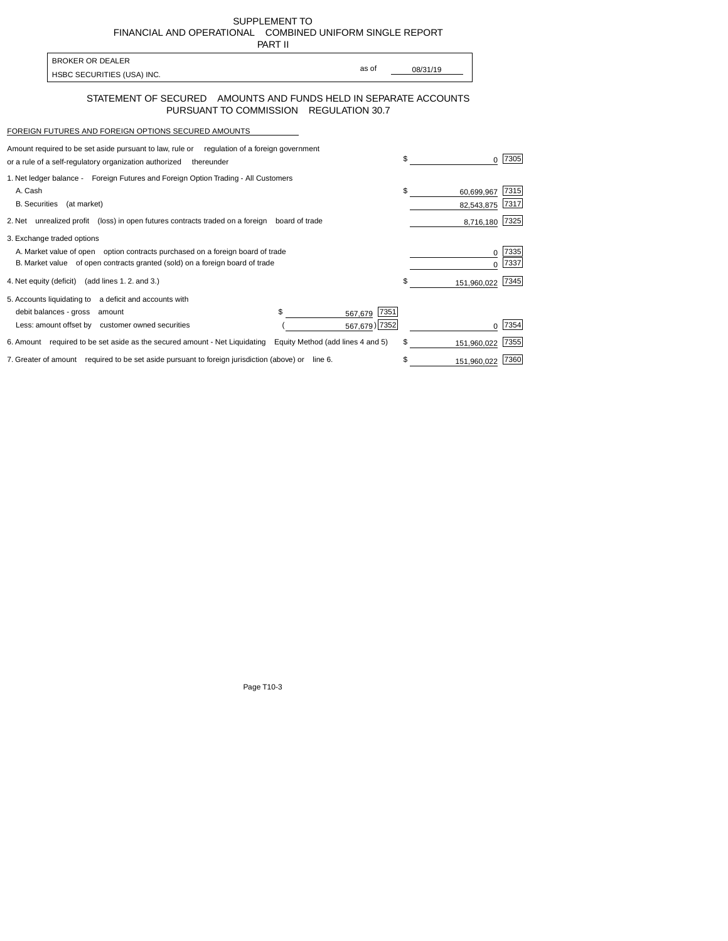SUPPLEMENT TO FINANCIAL AND OPERATIONAL COMBINED UNIFORM SINGLE REPORT

| PART II |
|---------|
|         |

| <b>BROKER OR DEALER</b>    |       |          |
|----------------------------|-------|----------|
| HSBC SECURITIES (USA) INC. | as of | 08/31/19 |

## STATEMENT OF SECURED AMOUNTS AND FUNDS HELD IN SEPARATE ACCOUNTS PURSUANT TO COMMISSION REGULATION 30.7

## FOREIGN FUTURES AND FOREIGN OPTIONS SECURED AMOUNTS

| Amount required to be set aside pursuant to law, rule or<br>regulation of a foreign government<br>or a rule of a self-regulatory organization authorized<br>thereunder |                                   |                 | \$                             | 7305         |
|------------------------------------------------------------------------------------------------------------------------------------------------------------------------|-----------------------------------|-----------------|--------------------------------|--------------|
| 1. Net ledger balance - Foreign Futures and Foreign Option Trading - All Customers<br>A. Cash<br><b>B.</b> Securities<br>(at market)                                   |                                   |                 | \$<br>60,699,967<br>82,543,875 | 7315<br>7317 |
| 2. Net unrealized profit (loss) in open futures contracts traded on a foreign                                                                                          | board of trade                    |                 | 8,716,180                      | 7325         |
| 3. Exchange traded options                                                                                                                                             |                                   |                 |                                |              |
| A. Market value of open option contracts purchased on a foreign board of trade<br>B. Market value of open contracts granted (sold) on a foreign board of trade         |                                   |                 |                                | 7335<br>7337 |
| 4. Net equity (deficit) (add lines 1.2. and 3.)                                                                                                                        |                                   |                 | \$<br>151,960,022              | 7345         |
| 5. Accounts liquidating to a deficit and accounts with                                                                                                                 |                                   |                 |                                |              |
| debit balances - gross amount                                                                                                                                          | \$                                | 7351<br>567,679 |                                |              |
| Less: amount offset by customer owned securities                                                                                                                       |                                   | 567,679) 7352   |                                | 7354         |
| 6. Amount required to be set aside as the secured amount - Net Liquidating                                                                                             | Equity Method (add lines 4 and 5) |                 | \$<br>151,960,022              | 7355         |
| 7. Greater of amount required to be set aside pursuant to foreign jurisdiction (above) or line 6.                                                                      |                                   |                 | \$<br>151,960,022              | 7360         |

7. Greater of amount required to be set aside pursuant to foreign jurisdiction (above) or line 6.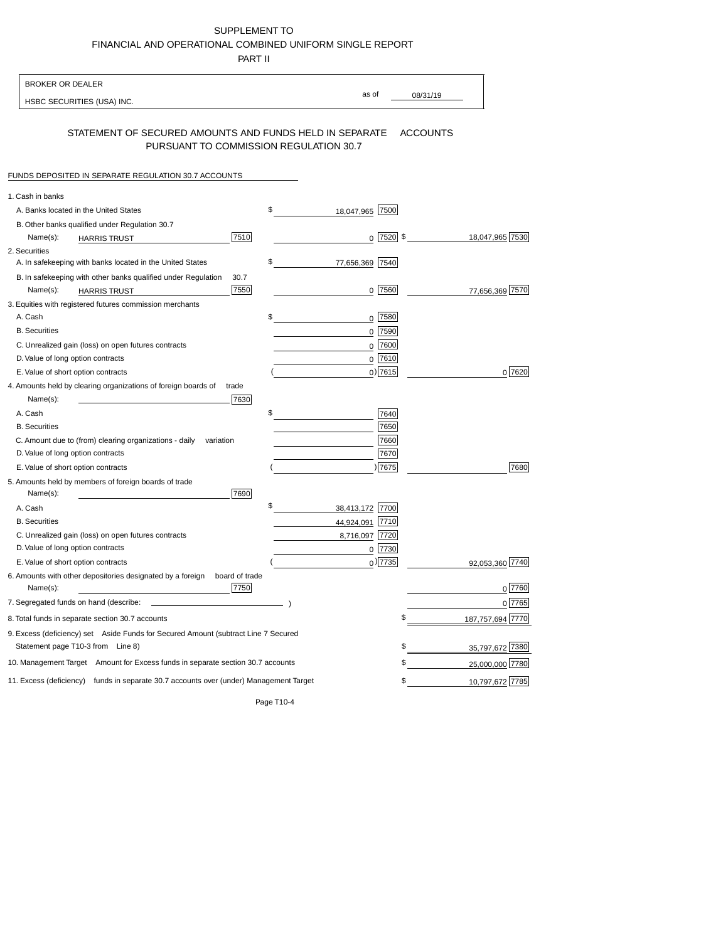## SUPPLEMENT TO FINANCIAL AND OPERATIONAL COMBINED UNIFORM SINGLE REPORT

PART II

| <b>BROKER OR DEALER</b>                                                                           |                       |                 |                    |
|---------------------------------------------------------------------------------------------------|-----------------------|-----------------|--------------------|
| HSBC SECURITIES (USA) INC.                                                                        | as of                 | 08/31/19        |                    |
| STATEMENT OF SECURED AMOUNTS AND FUNDS HELD IN SEPARATE<br>PURSUANT TO COMMISSION REGULATION 30.7 |                       | <b>ACCOUNTS</b> |                    |
| FUNDS DEPOSITED IN SEPARATE REGULATION 30.7 ACCOUNTS                                              |                       |                 |                    |
| 1. Cash in banks                                                                                  |                       |                 |                    |
| A. Banks located in the United States                                                             | \$<br>18,047,965 7500 |                 |                    |
| B. Other banks qualified under Regulation 30.7                                                    |                       |                 |                    |
| 7510<br>Name(s):<br><b>HARRIS TRUST</b>                                                           | $0$ 7520 \$           |                 | 18,047,965 7530    |
| 2. Securities                                                                                     |                       |                 |                    |
| A. In safekeeping with banks located in the United States                                         | \$<br>77,656,369 7540 |                 |                    |
| 30.7<br>B. In safekeeping with other banks qualified under Regulation                             |                       |                 |                    |
| 7550<br>Name(s):<br>HARRIS TRUST                                                                  | 0 7560                |                 | 77,656,369 7570    |
| 3. Equities with registered futures commission merchants                                          |                       |                 |                    |
| A. Cash                                                                                           | \$<br>0 7580          |                 |                    |
| <b>B.</b> Securities                                                                              | 7590<br>0             |                 |                    |
| C. Unrealized gain (loss) on open futures contracts                                               | 7600<br>0             |                 |                    |
| D. Value of long option contracts                                                                 | 7610<br>0             |                 |                    |
| E. Value of short option contracts                                                                | $0$ ) 7615            |                 | 0 7620             |
| 4. Amounts held by clearing organizations of foreign boards of<br>trade                           |                       |                 |                    |
| Name(s):<br>7630                                                                                  |                       |                 |                    |
| A. Cash                                                                                           | \$<br>7640            |                 |                    |
| <b>B.</b> Securities                                                                              | 7650                  |                 |                    |
| C. Amount due to (from) clearing organizations - daily<br>variation                               | 7660                  |                 |                    |
| D. Value of long option contracts                                                                 | 7670                  |                 |                    |
| E. Value of short option contracts                                                                | )7675                 |                 | 7680               |
| 5. Amounts held by members of foreign boards of trade<br>Name(s):<br>7690                         |                       |                 |                    |
| A. Cash                                                                                           | \$<br>38,413,172 7700 |                 |                    |
| <b>B.</b> Securities                                                                              | 44,924,091 7710       |                 |                    |
| C. Unrealized gain (loss) on open futures contracts                                               | 8,716,097 7720        |                 |                    |
| D. Value of long option contracts                                                                 | 7730<br>0             |                 |                    |
| E. Value of short option contracts                                                                | $0$ ) 7735            |                 | 92,053,360 7740    |
| 6. Amounts with other depositories designated by a foreign<br>board of trade<br>7750<br>Name(s):  |                       |                 | 0 7760             |
| 7. Segregated funds on hand (describe:                                                            |                       |                 | 0 7765             |
| 8. Total funds in separate section 30.7 accounts                                                  |                       | \$              | 187, 757, 694 7770 |
| 9. Excess (deficiency) set Aside Funds for Secured Amount (subtract Line 7 Secured                |                       |                 |                    |
| Statement page T10-3 from Line 8)                                                                 |                       | \$              | 35,797,672 7380    |
| 10. Management Target Amount for Excess funds in separate section 30.7 accounts                   |                       | \$              | 25,000,000 7780    |
| 11. Excess (deficiency) funds in separate 30.7 accounts over (under) Management Target            |                       | \$              | 10,797,672 7785    |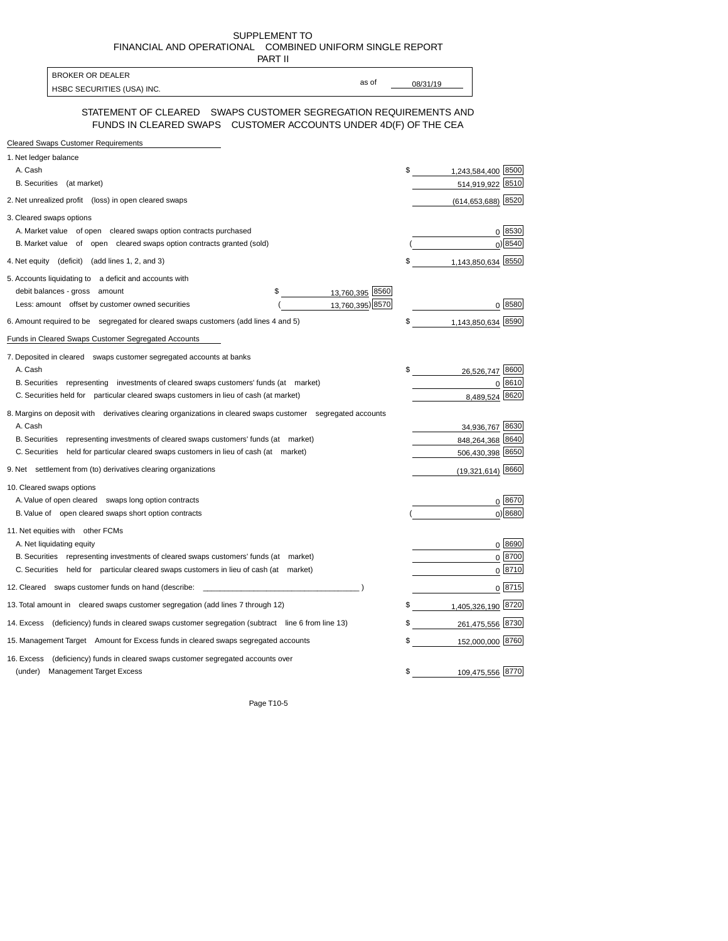SUPPLEMENT TO FINANCIAL AND OPERATIONAL COMBINED UNIFORM SINGLE REPORT

| PART II                                                                                                                              |          |                        |            |
|--------------------------------------------------------------------------------------------------------------------------------------|----------|------------------------|------------|
| <b>BROKER OR DEALER</b><br>as of                                                                                                     |          |                        |            |
| HSBC SECURITIES (USA) INC.                                                                                                           | 08/31/19 |                        |            |
| STATEMENT OF CLEARED  SWAPS CUSTOMER SEGREGATION REQUIREMENTS AND<br>FUNDS IN CLEARED SWAPS CUSTOMER ACCOUNTS UNDER 4D(F) OF THE CEA |          |                        |            |
| <b>Cleared Swaps Customer Requirements</b>                                                                                           |          |                        |            |
| 1. Net ledger balance                                                                                                                |          |                        |            |
| A. Cash                                                                                                                              | \$       | 1,243,584,400 8500     |            |
| B. Securities (at market)                                                                                                            |          | 514,919,922 8510       |            |
| 2. Net unrealized profit (loss) in open cleared swaps                                                                                |          | $(614, 653, 688)$ 8520 |            |
| 3. Cleared swaps options                                                                                                             |          |                        |            |
| A. Market value of open cleared swaps option contracts purchased                                                                     |          |                        | 0 8530     |
| B. Market value of open cleared swaps option contracts granted (sold)                                                                |          |                        | 0 8540     |
| 4. Net equity (deficit) (add lines 1, 2, and 3)                                                                                      | \$       | 1,143,850,634 8550     |            |
| 5. Accounts liquidating to a deficit and accounts with                                                                               |          |                        |            |
| debit balances - gross amount<br>\$<br>13,760,395 8560                                                                               |          |                        |            |
| 13,760,395) 8570<br>Less: amount offset by customer owned securities                                                                 |          |                        | 0 8580     |
| 6. Amount required to be segregated for cleared swaps customers (add lines 4 and 5)                                                  | \$       | 1,143,850,634 8590     |            |
| Funds in Cleared Swaps Customer Segregated Accounts                                                                                  |          |                        |            |
| 7. Deposited in cleared swaps customer segregated accounts at banks                                                                  |          |                        |            |
| A. Cash                                                                                                                              | \$       | 26,526,747 8600        |            |
| B. Securities representing investments of cleared swaps customers' funds (at market)                                                 |          |                        | 0 8610     |
| C. Securities held for particular cleared swaps customers in lieu of cash (at market)                                                |          | 8,489,524 8620         |            |
| 8. Margins on deposit with derivatives clearing organizations in cleared swaps customer segregated accounts                          |          |                        |            |
| A. Cash                                                                                                                              |          | 34,936,767 8630        |            |
| B. Securities representing investments of cleared swaps customers' funds (at market)                                                 |          | 848,264,368 8640       |            |
| C. Securities held for particular cleared swaps customers in lieu of cash (at market)                                                |          | 506,430,398 8650       |            |
| 9. Net settlement from (to) derivatives clearing organizations                                                                       |          | $(19,321,614)$ 8660    |            |
| 10. Cleared swaps options                                                                                                            |          |                        |            |
| A. Value of open cleared swaps long option contracts                                                                                 |          |                        | 0 8670     |
| B. Value of open cleared swaps short option contracts                                                                                |          |                        | $0$ ) 8680 |
| 11. Net equities with other FCMs                                                                                                     |          |                        |            |
| A. Net liquidating equity                                                                                                            |          |                        | 0 8690     |
| B. Securities representing investments of cleared swaps customers' funds (at market)                                                 |          |                        | $0^{8700}$ |
| C. Securities held for particular cleared swaps customers in lieu of cash (at market)                                                |          |                        | 0 8710     |
| 12. Cleared swaps customer funds on hand (describe:                                                                                  |          |                        | 0 8715     |
| 13. Total amount in cleared swaps customer segregation (add lines 7 through 12)                                                      | \$       | 1,405,326,190 8720     |            |
| 14. Excess (deficiency) funds in cleared swaps customer segregation (subtract line 6 from line 13)                                   | \$       | 261,475,556 8730       |            |
| 15. Management Target Amount for Excess funds in cleared swaps segregated accounts                                                   | \$       | 152,000,000 8760       |            |
| (deficiency) funds in cleared swaps customer segregated accounts over<br>16. Excess                                                  |          |                        |            |
| <b>Management Target Excess</b><br>(under)                                                                                           | \$       | 109,475,556 8770       |            |
|                                                                                                                                      |          |                        |            |